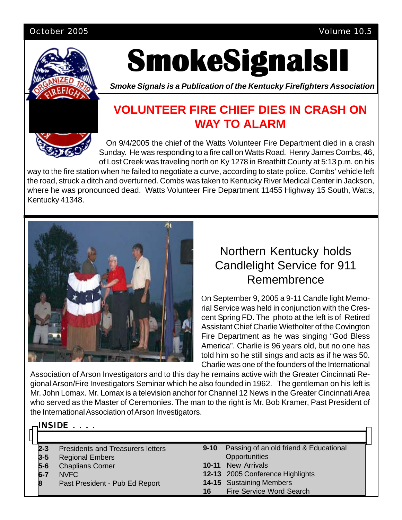#### October 2005 Volume 10.5



INSIDE<sup>.</sup>

# **SmokeSignalsII SmokeSignalsII SmokeSignalsII**

*Smoke Signals is a Publication of the Kentucky Firefighters Association*

# **VOLUNTEER FIRE CHIEF DIES IN CRASH ON WAY TO ALARM**

On 9/4/2005 the chief of the Watts Volunteer Fire Department died in a crash Sunday. He was responding to a fire call on Watts Road. Henry James Combs, 46, of Lost Creek was traveling north on Ky 1278 in Breathitt County at 5:13 p.m. on his

way to the fire station when he failed to negotiate a curve, according to state police. Combs' vehicle left the road, struck a ditch and overturned. Combs was taken to Kentucky River Medical Center in Jackson, where he was pronounced dead. Watts Volunteer Fire Department 11455 Highway 15 South, Watts, Kentucky 41348.



# Northern Kentucky holds Candlelight Service for 911 Remembrence

On September 9, 2005 a 9-11 Candle light Memorial Service was held in conjunction with the Crescent Spring FD. The photo at the left is of Retired Assistant Chief Charlie Wietholter of the Covington Fire Department as he was singing "God Bless America". Charlie is 96 years old, but no one has told him so he still sings and acts as if he was 50. Charlie was one of the founders of the International

Association of Arson Investigators and to this day he remains active with the Greater Cincinnati Regional Arson/Fire Investigators Seminar which he also founded in 1962. The gentleman on his left is Mr. John Lomax. Mr. Lomax is a television anchor for Channel 12 News in the Greater Cincinnati Area who served as the Master of Ceremonies. The man to the right is Mr. Bob Kramer, Past President of the International Association of Arson Investigators.

| $\sqcap$ injile<br>- |                                          |          |                                        |  |  |  |  |  |  |  |  |  |  |
|----------------------|------------------------------------------|----------|----------------------------------------|--|--|--|--|--|--|--|--|--|--|
|                      |                                          |          |                                        |  |  |  |  |  |  |  |  |  |  |
| l2-3                 | <b>Presidents and Treasurers letters</b> | $9 - 10$ | Passing of an old friend & Educational |  |  |  |  |  |  |  |  |  |  |
| $3 - 5$              | <b>Regional Embers</b>                   |          | Opportunities                          |  |  |  |  |  |  |  |  |  |  |
| $5-6$                | <b>Chaplians Corner</b>                  |          | <b>10-11</b> New Arrivals              |  |  |  |  |  |  |  |  |  |  |
| 6-7                  | NVFC                                     |          | 12-13 2005 Conference Highlights       |  |  |  |  |  |  |  |  |  |  |
| 18                   | Past President - Pub Ed Report           |          | <b>14-15</b> Sustaining Members        |  |  |  |  |  |  |  |  |  |  |
|                      |                                          | 16       | <b>Fire Service Word Search</b>        |  |  |  |  |  |  |  |  |  |  |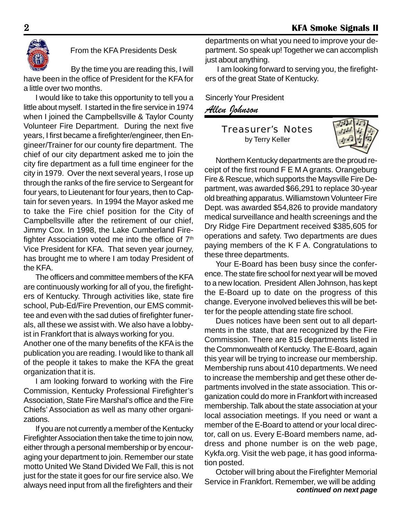

#### From the KFA Presidents Desk

By the time you are reading this, I will have been in the office of President for the KFA for a little over two months.

I would like to take this opportunity to tell you a little about myself. I started in the fire service in 1974 when I joined the Campbellsville & Taylor County Volunteer Fire Department. During the next five years, I first became a firefighter/engineer, then Engineer/Trainer for our county fire department. The chief of our city department asked me to join the city fire department as a full time engineer for the city in 1979. Over the next several years, I rose up through the ranks of the fire service to Sergeant for four years, to Lieutenant for four years, then to Captain for seven years. In 1994 the Mayor asked me to take the Fire chief position for the City of Campbellsville after the retirement of our chief, Jimmy Cox. In 1998, the Lake Cumberland Firefighter Association voted me into the office of  $7<sup>th</sup>$ Vice President for KFA. That seven year journey, has brought me to where I am today President of the KFA.

The officers and committee members of the KFA are continuously working for all of you, the firefighters of Kentucky. Through activities like, state fire school, Pub-Ed/Fire Prevention, our EMS committee and even with the sad duties of firefighter funerals, all these we assist with. We also have a lobbyist in Frankfort that is always working for you.

Another one of the many benefits of the KFA is the publication you are reading. I would like to thank all of the people it takes to make the KFA the great organization that it is.

I am looking forward to working with the Fire Commission, Kentucky Professional Firefighter's Association, State Fire Marshal's office and the Fire Chiefs' Association as well as many other organizations.

If you are not currently a member of the Kentucky Firefighter Association then take the time to join now, either through a personal membership or by encouraging your department to join. Remember our state motto United We Stand Divided We Fall, this is not just for the state it goes for our fire service also. We always need input from all the firefighters and their

departments on what you need to improve your department. So speak up! Together we can accomplish just about anything.

I am looking forward to serving you, the firefighters of the great State of Kentucky.

Sincerly Your President

*Allen Johnson*

Treasurer's Notes by Terry Keller



Northern Kentucky departments are the proud receipt of the first round F E M A grants. Orangeburg Fire & Rescue, which supports the Maysville Fire Department, was awarded \$66,291 to replace 30-year old breathing apparatus. Williamstown Volunteer Fire Dept. was awarded \$54,826 to provide mandatory medical surveillance and health screenings and the Dry Ridge Fire Department received \$385,605 for operations and safety. Two departments are dues paying members of the K F A. Congratulations to these three departments.

Your E-Board has been busy since the conference. The state fire school for next year will be moved to a new location. President Allen Johnson, has kept the E-Board up to date on the progress of this change. Everyone involved believes this will be better for the people attending state fire school.

Dues notices have been sent out to all departments in the state, that are recognized by the Fire Commission. There are 815 departments listed in the Commonwealth of Kentucky. The E-Board, again this year will be trying to increase our membership. Membership runs about 410 departments. We need to increase the membership and get these other departments involved in the state association. This organization could do more in Frankfort with increased membership. Talk about the state association at your local association meetings. If you need or want a member of the E-Board to attend or your local director, call on us. Every E-Board members name, address and phone number is on the web page, Kykfa.org. Visit the web page, it has good information posted.

October will bring about the Firefighter Memorial Service in Frankfort. Remember, we will be adding *continued on next page*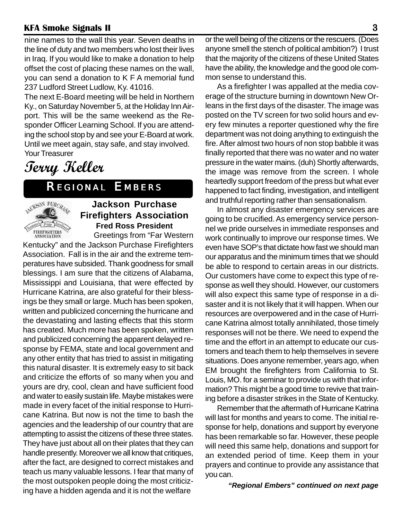nine names to the wall this year. Seven deaths in the line of duty and two members who lost their lives in Iraq. If you would like to make a donation to help offset the cost of placing these names on the wall, you can send a donation to K F A memorial fund 237 Ludford Street Ludlow, Ky. 41016.

The next E-Board meeting will be held in Northern Ky., on Saturday November 5, at the Holiday Inn Airport. This will be the same weekend as the Responder Officer Learning School. If you are attending the school stop by and see your E-Board at work. Until we meet again, stay safe, and stay involved. Your Treasurer

# **Terry Keller**

# *REGIONAL EMBERS*



#### **Jackson Purchase Firefighters Association Fred Ross President** Greetings from "Far Western

Kentucky" and the Jackson Purchase Firefighters Association. Fall is in the air and the extreme temperatures have subsided. Thank goodness for small blessings. I am sure that the citizens of Alabama, Mississippi and Louisiana, that were effected by Hurricane Katrina, are also grateful for their blessings be they small or large. Much has been spoken, written and publicized concerning the hurricane and the devastating and lasting effects that this storm has created. Much more has been spoken, written and publicized concerning the apparent delayed response by FEMA, state and local government and any other entity that has tried to assist in mitigating this natural disaster. It is extremely easy to sit back and criticize the efforts of so many when you and yours are dry, cool, clean and have sufficient food and water to easily sustain life. Maybe mistakes were made in every facet of the initial response to Hurricane Katrina. But now is not the time to bash the agencies and the leadership of our country that are attempting to assist the citizens of these three states. They have just about all on their plates that they can handle presently. Moreover we all know that critiques, after the fact, are designed to correct mistakes and teach us many valuable lessons. I fear that many of the most outspoken people doing the most criticizing have a hidden agenda and it is not the welfare

or the well being of the citizens or the rescuers. (Does anyone smell the stench of political ambition?) I trust that the majority of the citizens of these United States have the ability, the knowledge and the good ole common sense to understand this.

As a firefighter I was appalled at the media coverage of the structure burning in downtown New Orleans in the first days of the disaster. The image was posted on the TV screen for two solid hours and every few minutes a reporter questioned why the fire department was not doing anything to extinguish the fire. After almost two hours of non stop babble it was finally reported that there was no water and no water pressure in the water mains. (duh) Shortly afterwards, the image was remove from the screen. I whole heartedly support freedom of the press but what ever happened to fact finding, investigation, and intelligent and truthful reporting rather than sensationalism.

In almost any disaster emergency services are going to be crucified. As emergency service personnel we pride ourselves in immediate responses and work continually to improve our response times. We even have SOP's that dictate how fast we should man our apparatus and the minimum times that we should be able to respond to certain areas in our districts. Our customers have come to expect this type of response as well they should. However, our customers will also expect this same type of response in a disaster and it is not likely that it will happen. When our resources are overpowered and in the case of Hurricane Katrina almost totally annihilated, those timely responses will not be there. We need to expend the time and the effort in an attempt to educate our customers and teach them to help themselves in severe situations. Does anyone remember, years ago, when EM brought the firefighters from California to St. Louis, MO. for a seminar to provide us with that information? This might be a good time to revive that training before a disaster strikes in the State of Kentucky.

Remember that the aftermath of Hurricane Katrina will last for months and years to come. The initial response for help, donations and support by everyone has been remarkable so far. However, these people will need this same help, donations and support for an extended period of time. Keep them in your prayers and continue to provide any assistance that you can.

#### *"Regional Embers" continued on next page*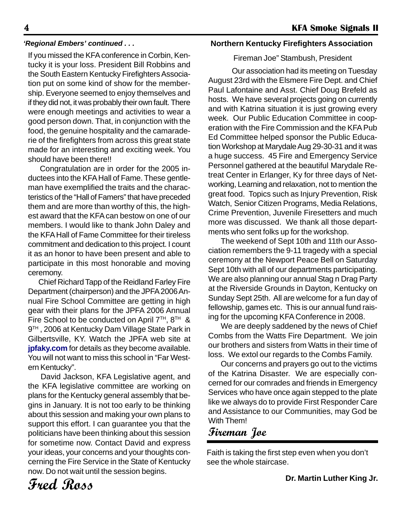If you missed the KFA conference in Corbin, Kentucky it is your loss. President Bill Robbins and the South Eastern Kentucky Firefighters Association put on some kind of show for the membership. Everyone seemed to enjoy themselves and if they did not, it was probably their own fault. There were enough meetings and activities to wear a good person down. That, in conjunction with the food, the genuine hospitality and the camaraderie of the firefighters from across this great state made for an interesting and exciting week. You should have been there!!

Congratulation are in order for the 2005 inductees into the KFA Hall of Fame. These gentleman have exemplified the traits and the characteristics of the "Hall of Famers" that have preceded them and are more than worthy of this, the highest award that the KFA can bestow on one of our members. I would like to thank John Daley and the KFA Hall of Fame Committee for their tireless commitment and dedication to this project. I count it as an honor to have been present and able to participate in this most honorable and moving ceremony.

Chief Richard Tapp of the Reidland Farley Fire Department (chairperson) and the JPFA 2006 Annual Fire School Committee are getting in high gear with their plans for the JPFA 2006 Annual Fire School to be conducted on April  $7<sup>TH</sup>$ ,  $8<sup>TH</sup>$  & 9<sup>TH</sup>, 2006 at Kentucky Dam Village State Park in Gilbertsville, KY. Watch the JPFA web site at **jpfaky.com** for details as they become available. You will not want to miss this school in "Far Western Kentucky".

David Jackson, KFA Legislative agent, and the KFA legislative committee are working on plans for the Kentucky general assembly that begins in January. It is not too early to be thinking about this session and making your own plans to support this effort. I can guarantee you that the politicians have been thinking about this session for sometime now. Contact David and express your ideas, your concerns and your thoughts concerning the Fire Service in the State of Kentucky now. Do not wait until the session begins.

#### *'Regional Embers' continued . . .* **Northern Kentucky Firefighters Association**

#### Fireman Joe" Stambush, President

 Our association had its meeting on Tuesday August 23rd with the Elsmere Fire Dept. and Chief Paul Lafontaine and Asst. Chief Doug Brefeld as hosts. We have several projects going on currently and with Katrina situation it is just growing every week. Our Public Education Committee in cooperation with the Fire Commission and the KFA Pub Ed Committee helped sponsor the Public Education Workshop at Marydale Aug 29-30-31 and it was a huge success. 45 Fire and Emergency Service Personnel gathered at the beautiful Marydale Retreat Center in Erlanger, Ky for three days of Networking, Learning and relaxation, not to mention the great food. Topics such as Injury Prevention, Risk Watch, Senior Citizen Programs, Media Relations, Crime Prevention, Juvenile Firesetters and much more was discussed. We thank all those departments who sent folks up for the workshop.

The weekend of Sept 10th and 11th our Association remembers the 9-11 tragedy with a special ceremony at the Newport Peace Bell on Saturday Sept 10th with all of our departments participating. We are also planning our annual Stag n Drag Party at the Riverside Grounds in Dayton, Kentucky on Sunday Sept 25th. All are welcome for a fun day of fellowship, games etc. This is our annual fund raising for the upcoming KFA Conference in 2008.

We are deeply saddened by the news of Chief Combs from the Watts Fire Department. We join our brothers and sisters from Watts in their time of loss. We extol our regards to the Combs Family.

Our concerns and prayers go out to the victims of the Katrina Disaster. We are especially concerned for our comrades and friends in Emergency Services who have once again stepped to the plate like we always do to provide First Responder Care and Assistance to our Communities, may God be With Them!

## **Fireman Joe**

Faith is taking the first step even when you don't see the whole staircase.

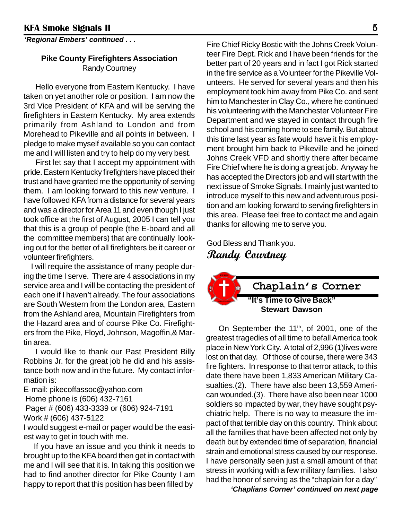*'Regional Embers' continued . . .*

#### **Pike County Firefighters Association** Randy Courtney

Hello everyone from Eastern Kentucky. I have taken on yet another role or position. I am now the 3rd Vice President of KFA and will be serving the firefighters in Eastern Kentucky. My area extends primarily from Ashland to London and from Morehead to Pikeville and all points in between. I pledge to make myself available so you can contact me and I will listen and try to help do my very best.

First let say that I accept my appointment with pride. Eastern Kentucky firefighters have placed their trust and have granted me the opportunity of serving them. I am looking forward to this new venture. I have followed KFA from a distance for several years and was a director for Area 11 and even though I just took office at the first of August, 2005 I can tell you that this is a group of people (the E-board and all the committee members) that are continually looking out for the better of all firefighters be it career or volunteer firefighters.

 I will require the assistance of many people during the time I serve. There are 4 associations in my service area and I will be contacting the president of each one if I haven't already. The four associations are South Western from the London area, Eastern from the Ashland area, Mountain Firefighters from the Hazard area and of course Pike Co. Firefighters from the Pike, Floyd, Johnson, Magoffin,& Martin area.

I would like to thank our Past President Billy Robbins Jr. for the great job he did and his assistance both now and in the future. My contact information is:

E-mail: pikecoffassoc@yahoo.com Home phone is (606) 432-7161 Pager # (606) 433-3339 or (606) 924-7191 Work # (606) 437-5122

I would suggest e-mail or pager would be the easiest way to get in touch with me.

 If you have an issue and you think it needs to brought up to the KFA board then get in contact with me and I will see that it is. In taking this position we had to find another director for Pike County I am happy to report that this position has been filled by

Fire Chief Ricky Bostic with the Johns Creek Volunteer Fire Dept. Rick and I have been friends for the better part of 20 years and in fact I got Rick started in the fire service as a Volunteer for the Pikeville Volunteers. He served for several years and then his employment took him away from Pike Co. and sent him to Manchester in Clay Co., where he continued his volunteering with the Manchester Volunteer Fire Department and we stayed in contact through fire school and his coming home to see family. But about this time last year as fate would have it his employment brought him back to Pikeville and he joined Johns Creek VFD and shortly there after became Fire Chief where he is doing a great job. Anyway he has accepted the Directors job and will start with the next issue of Smoke Signals. I mainly just wanted to introduce myself to this new and adventurous position and am looking forward to serving firefighters in this area. Please feel free to contact me and again thanks for allowing me to serve you.

God Bless and Thank you. **Randy Courtney**



On September the  $11<sup>th</sup>$ , of 2001, one of the greatest tragedies of all time to befall America took place in New York City. A total of 2,996 (1)lives were lost on that day. Of those of course, there were 343 fire fighters. In response to that terror attack, to this date there have been 1,833 American Military Casualties.(2). There have also been 13,559 American wounded.(3). There have also been near 1000 soldiers so impacted by war, they have sought psychiatric help. There is no way to measure the impact of that terrible day on this country. Think about all the families that have been affected not only by death but by extended time of separation, financial strain and emotional stress caused by our response. I have personally seen just a small amount of that stress in working with a few military families. I also had the honor of serving as the "chaplain for a day"

*'Chaplians Corner' continued on next page*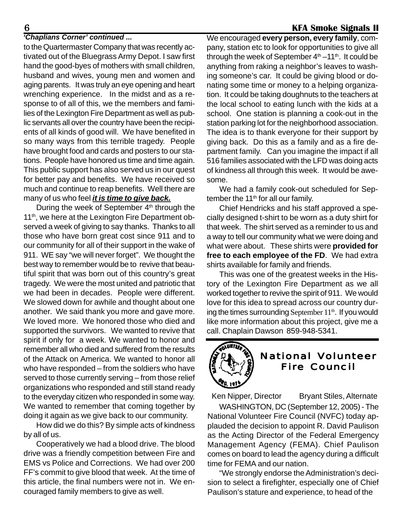#### *'Chaplians Corner' continued ...*

to the Quartermaster Company that was recently activated out of the Bluegrass Army Depot. I saw first hand the good-byes of mothers with small children, husband and wives, young men and women and aging parents. It was truly an eye opening and heart wrenching experience. In the midst and as a response to of all of this, we the members and families of the Lexington Fire Department as well as public servants all over the country have been the recipients of all kinds of good will. We have benefited in so many ways from this terrible tragedy. People have brought food and cards and posters to our stations. People have honored us time and time again. This public support has also served us in our quest for better pay and benefits. We have received so much and continue to reap benefits. Well there are many of us who feel *it is time to give back.*

During the week of September 4<sup>th</sup> through the 11<sup>th</sup>, we here at the Lexington Fire Department observed a week of giving to say thanks. Thanks to all those who have born great cost since 911 and to our community for all of their support in the wake of 911. WE say "we will never forget". We thought the best way to remember would be to revive that beautiful spirit that was born out of this country's great tragedy. We were the most united and patriotic that we had been in decades. People were different. We slowed down for awhile and thought about one another. We said thank you more and gave more. We loved more. We honored those who died and supported the survivors. We wanted to revive that spirit if only for a week. We wanted to honor and remember all who died and suffered from the results of the Attack on America. We wanted to honor all who have responded – from the soldiers who have served to those currently serving – from those relief organizations who responded and still stand ready to the everyday citizen who responded in some way. We wanted to remember that coming together by doing it again as we give back to our community.

How did we do this? By simple acts of kindness by all of us.

Cooperatively we had a blood drive. The blood drive was a friendly competition between Fire and EMS vs Police and Corrections. We had over 200 FF's commit to give blood that week. At the time of this article, the final numbers were not in. We encouraged family members to give as well.

We encouraged **every person, every family**, company, station etc to look for opportunities to give all through the week of September  $4<sup>th</sup> - 11<sup>th</sup>$ . It could be anything from raking a neighbor's leaves to washing someone's car. It could be giving blood or donating some time or money to a helping organization. It could be taking doughnuts to the teachers at the local school to eating lunch with the kids at a school. One station is planning a cook-out in the station parking lot for the neighborhood association. The idea is to thank everyone for their support by giving back. Do this as a family and as a fire department family. Can you imagine the impact if all 516 families associated with the LFD was doing acts of kindness all through this week. It would be awesome.

We had a family cook-out scheduled for September the 11<sup>th</sup> for all our family.

Chief Hendricks and his staff approved a specially designed t-shirt to be worn as a duty shirt for that week. The shirt served as a reminder to us and a way to tell our community what we were doing and what were about. These shirts were **provided for free to each employee of the FD**. We had extra shirts available for family and friends.

This was one of the greatest weeks in the History of the Lexington Fire Department as we all worked together to revive the spirit of 911. We would love for this idea to spread across our country during the times surrounding September 11<sup>th</sup>. If you would like more information about this project, give me a call. Chaplain Dawson 859-948-5341.



Ken Nipper, Director Bryant Stiles, Alternate WASHINGTON, DC (September 12, 2005) - The National Volunteer Fire Council (NVFC) today applauded the decision to appoint R. David Paulison as the Acting Director of the Federal Emergency Management Agency (FEMA). Chief Paulison comes on board to lead the agency during a difficult time for FEMA and our nation.

"We strongly endorse the Administration's decision to select a firefighter, especially one of Chief Paulison's stature and experience, to head of the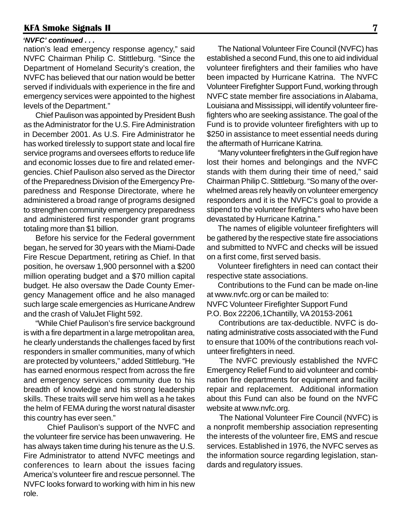#### *'NVFC' continued . . .*

nation's lead emergency response agency," said NVFC Chairman Philip C. Stittleburg. "Since the Department of Homeland Security's creation, the NVFC has believed that our nation would be better served if individuals with experience in the fire and emergency services were appointed to the highest levels of the Department."

Chief Paulison was appointed by President Bush as the Administrator for the U.S. Fire Administration in December 2001. As U.S. Fire Administrator he has worked tirelessly to support state and local fire service programs and oversees efforts to reduce life and economic losses due to fire and related emergencies. Chief Paulison also served as the Director of the Preparedness Division of the Emergency Preparedness and Response Directorate, where he administered a broad range of programs designed to strengthen community emergency preparedness and administered first responder grant programs totaling more than \$1 billion.

Before his service for the Federal government began, he served for 30 years with the Miami-Dade Fire Rescue Department, retiring as Chief. In that position, he oversaw 1,900 personnel with a \$200 million operating budget and a \$70 million capital budget. He also oversaw the Dade County Emergency Management office and he also managed such large scale emergencies as Hurricane Andrew and the crash of ValuJet Flight 592.

"While Chief Paulison's fire service background is with a fire department in a large metropolitan area, he clearly understands the challenges faced by first responders in smaller communities, many of which are protected by volunteers," added Stittleburg. "He has earned enormous respect from across the fire and emergency services community due to his breadth of knowledge and his strong leadership skills. These traits will serve him well as a he takes the helm of FEMA during the worst natural disaster this country has ever seen."

Chief Paulison's support of the NVFC and the volunteer fire service has been unwavering. He has always taken time during his tenure as the U.S. Fire Administrator to attend NVFC meetings and conferences to learn about the issues facing America's volunteer fire and rescue personnel. The NVFC looks forward to working with him in his new role.

The National Volunteer Fire Council (NVFC) has established a second Fund, this one to aid individual volunteer firefighters and their families who have been impacted by Hurricane Katrina. The NVFC Volunteer Firefighter Support Fund, working through NVFC state member fire associations in Alabama, Louisiana and Mississippi, will identify volunteer firefighters who are seeking assistance. The goal of the Fund is to provide volunteer firefighters with up to \$250 in assistance to meet essential needs during the aftermath of Hurricane Katrina.

"Many volunteer firefighters in the Gulf region have lost their homes and belongings and the NVFC stands with them during their time of need," said Chairman Philip C. Stittleburg. "So many of the overwhelmed areas rely heavily on volunteer emergency responders and it is the NVFC's goal to provide a stipend to the volunteer firefighters who have been devastated by Hurricane Katrina."

The names of eligible volunteer firefighters will be gathered by the respective state fire associations and submitted to NVFC and checks will be issued on a first come, first served basis.

Volunteer firefighters in need can contact their respective state associations.

Contributions to the Fund can be made on-line at www.nvfc.org or can be mailed to: NVFC Volunteer Firefighter Support Fund P.O. Box 22206,1Chantilly, VA 20153-2061

Contributions are tax-deductible. NVFC is donating administrative costs associated with the Fund to ensure that 100% of the contributions reach volunteer firefighters in need.

The NVFC previously established the NVFC Emergency Relief Fund to aid volunteer and combination fire departments for equipment and facility repair and replacement. Additional information about this Fund can also be found on the NVFC website at www.nvfc.org.

The National Volunteer Fire Council (NVFC) is a nonprofit membership association representing the interests of the volunteer fire, EMS and rescue services. Established in 1976, the NVFC serves as the information source regarding legislation, standards and regulatory issues.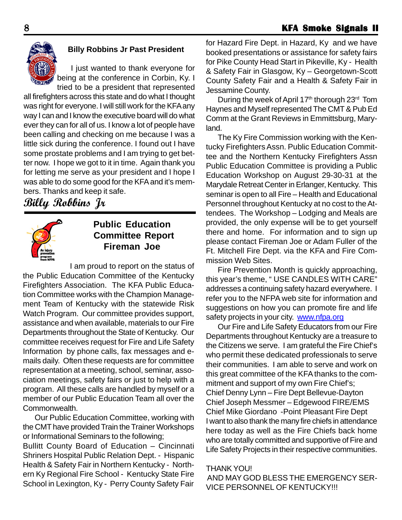

#### **Billy Robbins Jr Past President**

I just wanted to thank everyone for being at the conference in Corbin, Ky. I tried to be a president that represented

all firefighters across this state and do what I thought was right for everyone. I will still work for the KFA any way I can and I know the executive board will do what ever they can for all of us. I know a lot of people have been calling and checking on me because I was a little sick during the conference. I found out I have some prostate problems and I am trying to get better now. I hope we got to it in time. Again thank you for letting me serve as your president and I hope I was able to do some good for the KFA and it's members. Thanks and keep it safe.

**Billy Robbins Jr**



### **Public Education Committee Report Fireman Joe**

I am proud to report on the status of the Public Education Committee of the Kentucky Firefighters Association. The KFA Public Education Committee works with the Champion Management Team of Kentucky with the statewide Risk Watch Program. Our committee provides support, assistance and when available, materials to our Fire Departments throughout the State of Kentucky. Our committee receives request for Fire and Life Safety Information by phone calls, fax messages and emails daily. Often these requests are for committee representation at a meeting, school, seminar, association meetings, safety fairs or just to help with a program. All these calls are handled by myself or a member of our Public Education Team all over the Commonwealth.

Our Public Education Committee, working with the CMT have provided Train the Trainer Workshops or Informational Seminars to the following;

Bullitt County Board of Education – Cincinnati Shriners Hospital Public Relation Dept. - Hispanic Health & Safety Fair in Northern Kentucky - Northern Ky Regional Fire School - Kentucky State Fire School in Lexington, Ky - Perry County Safety Fair

for Hazard Fire Dept. in Hazard, Ky and we have booked presentations or assistance for safety fairs for Pike County Head Start in Pikeville, Ky - Health & Safety Fair in Glasgow, Ky – Georgetown-Scott County Safety Fair and a Health & Safety Fair in Jessamine County.

During the week of April 17<sup>th</sup> thorough 23<sup>rd</sup> Tom Haynes and Myself represented The CMT & Pub Ed Comm at the Grant Reviews in Emmittsburg, Maryland.

The Ky Fire Commission working with the Kentucky Firefighters Assn. Public Education Committee and the Northern Kentucky Firefighters Assn Public Education Committee is providing a Public Education Workshop on August 29-30-31 at the Marydale Retreat Center in Erlanger, Kentucky. This seminar is open to all Fire – Health and Educational Personnel throughout Kentucky at no cost to the Attendees. The Workshop – Lodging and Meals are provided, the only expense will be to get yourself there and home. For information and to sign up please contact Fireman Joe or Adam Fuller of the Ft. Mitchell Fire Dept. via the KFA and Fire Commission Web Sites.

Fire Prevention Month is quickly approaching, this year's theme, " USE CANDLES WITH CARE" addresses a continuing safety hazard everywhere. I refer you to the NFPA web site for information and suggestions on how you can promote fire and life safety projects in your city. www.nfpa.org

Our Fire and Life Safety Educators from our Fire Departments throughout Kentucky are a treasure to the Citizens we serve. I am grateful the Fire Chief's who permit these dedicated professionals to serve their communities. I am able to serve and work on this great committee of the KFA thanks to the commitment and support of my own Fire Chief's; Chief Denny Lynn – Fire Dept Bellevue-Dayton Chief Joseph Messmer – Edgewood FIRE/EMS Chief Mike Giordano -Point Pleasant Fire Dept I want to also thank the many fire chiefs in attendance here today as well as the Fire Chiefs back home who are totally committed and supportive of Fire and Life Safety Projects in their respective communities.

#### THANK YOU!

 AND MAY GOD BLESS THE EMERGENCY SER-VICE PERSONNEL OF KENTUCKY!!!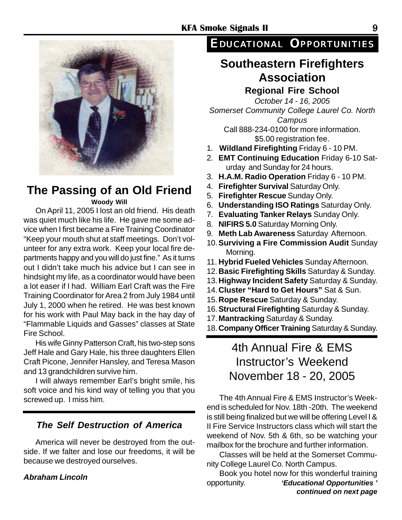

# **The Passing of an Old Friend**

**Woody Will**

On April 11, 2005 I lost an old friend. His death was quiet much like his life. He gave me some advice when I first became a Fire Training Coordinator "Keep your mouth shut at staff meetings. Don't volunteer for any extra work. Keep your local fire departments happy and you will do just fine." As it turns out I didn't take much his advice but I can see in hindsight my life, as a coordinator would have been a lot easer if I had. William Earl Craft was the Fire Training Coordinator for Area 2 from July 1984 until July 1, 2000 when he retired. He was best known for his work with Paul May back in the hay day of "Flammable Liquids and Gasses" classes at State Fire School.

His wife Ginny Patterson Craft, his two-step sons Jeff Hale and Gary Hale, his three daughters Ellen Craft Picone, Jennifer Hansley, and Teresa Mason and 13 grandchildren survive him.

I will always remember Earl's bright smile, his soft voice and his kind way of telling you that you screwed up. I miss him.

#### *The Self Destruction of America*

America will never be destroyed from the outside. If we falter and lose our freedoms, it will be because we destroyed ourselves.

#### *Abraham Lincoln*

## *EDUCATIONAL OPPORTUNITIES*

# **Southeastern Firefighters Association**

#### **Regional Fire School**

*October 14 - 16, 2005 Somerset Community College Laurel Co. North Campus* Call 888-234-0100 for more information.

\$5.00 registration fee.

- 1. **Wildland Firefighting** Friday 6 10 PM.
- 2. **EMT Continuing Education** Friday 6-10 Saturday and Sunday for 24 hours.
- 3. **H.A.M. Radio Operation** Friday 6 10 PM.
- 4. **Firefighter Survival** Saturday Only.
- 5. **Firefighter Rescue** Sunday Only.
- 6. **Understanding ISO Ratings** Saturday Only.
- 7. **Evaluating Tanker Relays** Sunday Only.
- 8. **NIFIRS 5.0** Saturday Morning Only.
- 9. **Meth Lab Awareness** Saturday Afternoon.
- 10.**Surviving a Fire Commission Audit** Sunday Morning.
- 11. **Hybrid Fueled Vehicles** Sunday Afternoon.
- 12.**Basic Firefighting Skills** Saturday & Sunday.
- 13.**Highway Incident Safety** Saturday & Sunday.
- 14.**Cluster "Hard to Get Hours"** Sat & Sun.
- 15.**Rope Rescue** Saturday & Sunday.
- 16.**Structural Firefighting** Saturday & Sunday.
- 17.**Mantracking** Saturday & Sunday.
- 18.**Company Officer Training** Saturday & Sunday.

# 4th Annual Fire & EMS Instructor's Weekend November 18 - 20, 2005

The 4th Annual Fire & EMS Instructor's Weekend is scheduled for Nov. 18th -20th. The weekend is still being finalized but we will be offering Level I & II Fire Service Instructors class which will start the weekend of Nov. 5th & 6th, so be watching your mailbox for the brochure and further information.

Classes will be held at the Somerset Community College Laurel Co. North Campus.

Book you hotel now for this wonderful training opportunity. *'Educational Opportunities ' continued on next page*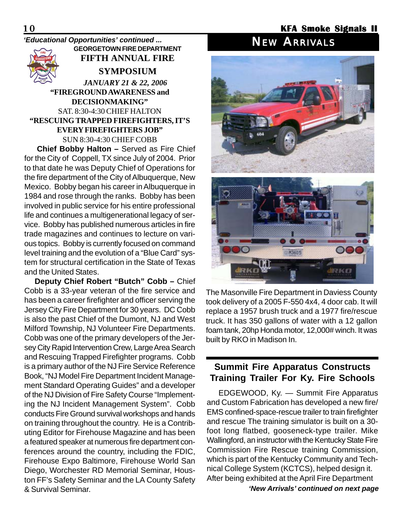#### **GEORGETOWN FIRE DEPARTMENT FIFTH ANNUAL FIRE SYMPOSIUM**  *JANUARY 21 & 22, 2006* **"FIREGROUND AWARENESS and DECISIONMAKING"** SAT. 8:30-4:30 CHIEF HALTON **"RESCUING TRAPPED FIREFIGHTERS, IT'S EVERY FIREFIGHTERS JOB"** *NEW ARRIVALS 'Educational Opportunities' continued ...*

SUN 8:30-4:30 CHIEF COBB

**Chief Bobby Halton –** Served as Fire Chief for the City of Coppell, TX since July of 2004. Prior to that date he was Deputy Chief of Operations for the fire department of the City of Albuquerque, New Mexico. Bobby began his career in Albuquerque in 1984 and rose through the ranks. Bobby has been involved in public service for his entire professional life and continues a multigenerational legacy of service. Bobby has published numerous articles in fire trade magazines and continues to lecture on various topics. Bobby is currently focused on command level training and the evolution of a "Blue Card" system for structural certification in the State of Texas and the United States.

**Deputy Chief Robert "Butch" Cobb –** Chief Cobb is a 33-year veteran of the fire service and has been a career firefighter and officer serving the Jersey City Fire Department for 30 years. DC Cobb is also the past Chief of the Dumont, NJ and West Milford Township, NJ Volunteer Fire Departments. Cobb was one of the primary developers of the Jersey City Rapid Intervention Crew, Large Area Search and Rescuing Trapped Firefighter programs. Cobb is a primary author of the NJ Fire Service Reference Book, "NJ Model Fire Department Incident Management Standard Operating Guides" and a developer of the NJ Division of Fire Safety Course "Implementing the NJ Incident Management System". Cobb conducts Fire Ground survival workshops and hands on training throughout the country. He is a Contributing Editor for Firehouse Magazine and has been a featured speaker at numerous fire department conferences around the country, including the FDIC, Firehouse Expo Baltimore, Firehouse World San Diego, Worchester RD Memorial Seminar, Houston FF's Safety Seminar and the LA County Safety & Survival Seminar.



The Masonville Fire Department in Daviess County took delivery of a 2005 F-550 4x4, 4 door cab. It will replace a 1957 brush truck and a 1977 fire/rescue truck. It has 350 gallons of water with a 12 gallon foam tank, 20hp Honda motor, 12,000# winch. It was built by RKO in Madison In.

#### **Summit Fire Apparatus Constructs Training Trailer For Ky. Fire Schools**

EDGEWOOD, Ky. — Summit Fire Apparatus and Custom Fabrication has developed a new fire/ EMS confined-space-rescue trailer to train firefighter and rescue The training simulator is built on a 30 foot long flatbed, gooseneck-type trailer. Mike Wallingford, an instructor with the Kentucky State Fire Commission Fire Rescue training Commission, which is part of the Kentucky Community and Technical College System (KCTCS), helped design it. After being exhibited at the April Fire Department

*'New Arrivals' continued on next page*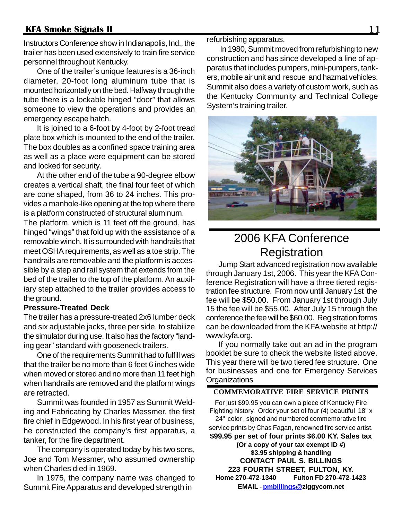Instructors Conference show in Indianapolis, Ind., the trailer has been used extensively to train fire service personnel throughout Kentucky.

One of the trailer's unique features is a 36-inch diameter, 20-foot long aluminum tube that is mounted horizontally on the bed. Halfway through the tube there is a lockable hinged "door" that allows someone to view the operations and provides an emergency escape hatch.

It is joined to a 6-foot by 4-foot by 2-foot tread plate box which is mounted to the end of the trailer. The box doubles as a confined space training area as well as a place were equipment can be stored and locked for security.

At the other end of the tube a 90-degree elbow creates a vertical shaft, the final four feet of which are cone shaped, from 36 to 24 inches. This provides a manhole-like opening at the top where there is a platform constructed of structural aluminum.

The platform, which is 11 feet off the ground, has hinged "wings" that fold up with the assistance of a removable winch. It is surrounded with handrails that meet OSHA requirements, as well as a toe strip. The handrails are removable and the platform is accessible by a step and rail system that extends from the bed of the trailer to the top of the platform. An auxiliary step attached to the trailer provides access to the ground.

#### **Pressure-Treated Deck**

The trailer has a pressure-treated 2x6 lumber deck and six adjustable jacks, three per side, to stabilize the simulator during use. It also has the factory "landing gear" standard with gooseneck trailers.

One of the requirements Summit had to fulfill was that the trailer be no more than 6 feet 6 inches wide when moved or stored and no more than 11 feet high when handrails are removed and the platform wings are retracted.

Summit was founded in 1957 as Summit Welding and Fabricating by Charles Messmer, the first fire chief in Edgewood. In his first year of business, he constructed the company's first apparatus, a tanker, for the fire department.

The company is operated today by his two sons, Joe and Tom Messmer, who assumed ownership when Charles died in 1969.

In 1975, the company name was changed to Summit Fire Apparatus and developed strength in

refurbishing apparatus.

In 1980, Summit moved from refurbishing to new construction and has since developed a line of apparatus that includes pumpers, mini-pumpers, tankers, mobile air unit and rescue and hazmat vehicles. Summit also does a variety of custom work, such as the Kentucky Community and Technical College System's training trailer.



# 2006 KFA Conference **Registration**

Jump Start advanced registration now available through January 1st, 2006. This year the KFA Conference Registration will have a three tiered registration fee structure. From now until January 1st the fee will be \$50.00. From January 1st through July 15 the fee will be \$55.00. After July 15 through the conference the fee will be \$60.00. Registration forms can be downloaded from the KFA website at http:// www.kyfa.org.

If you normally take out an ad in the program booklet be sure to check the website listed above. This year there will be two tiered fee structure. One for businesses and one for Emergency Services **Organizations** 

#### **COMMEMORATIVE FIRE SERVICE PRINTS**

For just \$99.95 you can own a piece of Kentucky Fire Fighting history. Order your set of four (4) beautiful 18" x 24" color , signed and numbered commemorative fire service prints by Chas Fagan, renowned fire service artist. **\$99.95 per set of four prints \$6.00 KY. Sales tax (Or a copy of your tax exempt ID #) \$3.95 shipping & handling CONTACT PAUL S. BILLINGS 223 FOURTH STREET, FULTON, KY. Home 270-472-1340 Fulton FD 270-472-1423 EMAIL - pmbillings@ziggycom.net**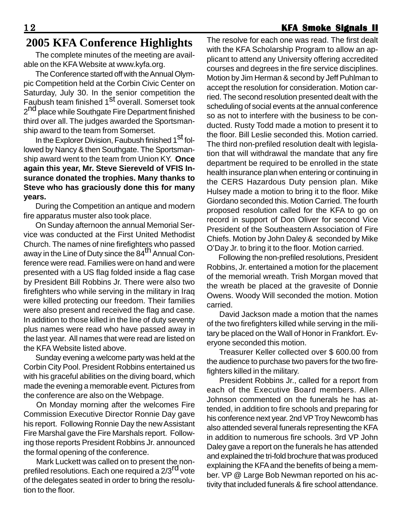#### 1 2 **KFA Smoke Signals II KFA Signals**

# **2005 KFA Conference Highlights**

The complete minutes of the meeting are available on the KFA Website at www.kyfa.org.

The Conference started off with the Annual Olympic Competition held at the Corbin Civic Center on Saturday, July 30. In the senior competition the Faubush team finished 1<sup>st</sup> overall. Somerset took 2<sup>nd</sup> place while Southgate Fire Department finished third over all. The judges awarded the Sportsmanship award to the team from Somerset.

In the Explorer Division, Faubush finished 1<sup>St</sup> followed by Nancy & then Southgate. The Sportsmanship award went to the team from Union KY. **Once again this year, Mr. Steve Siereveld of VFIS Insurance donated the trophies. Many thanks to Steve who has graciously done this for many years.**

During the Competition an antique and modern fire apparatus muster also took place.

On Sunday afternoon the annual Memorial Service was conducted at the First United Methodist Church. The names of nine firefighters who passed away in the Line of Duty since the 84th Annual Conference were read. Families were on hand and were presented with a US flag folded inside a flag case by President Bill Robbins Jr. There were also two firefighters who while serving in the military in Iraq were killed protecting our freedom. Their families were also present and received the flag and case. In addition to those killed in the line of duty seventy plus names were read who have passed away in the last year. All names that were read are listed on the KFA Website listed above.

Sunday evening a welcome party was held at the Corbin City Pool. President Robbins entertained us with his graceful abilities on the diving board, which made the evening a memorable event. Pictures from the conference are also on the Webpage.

On Monday morning after the welcomes Fire Commission Executive Director Ronnie Day gave his report. Following Ronnie Day the new Assistant Fire Marshal gave the Fire Marshals report. Following those reports President Robbins Jr. announced the formal opening of the conference.

Mark Luckett was called on to present the nonprefiled resolutions. Each one required a 2/3<sup>rd</sup> vote of the delegates seated in order to bring the resolution to the floor.

The resolve for each one was read. The first dealt with the KFA Scholarship Program to allow an applicant to attend any University offering accredited courses and degrees in the fire service disciplines. Motion by Jim Herman & second by Jeff Puhlman to accept the resolution for consideration. Motion carried. The second resolution presented dealt with the scheduling of social events at the annual conference so as not to interfere with the business to be conducted. Rusty Todd made a motion to present it to the floor. Bill Leslie seconded this. Motion carried. The third non-prefiled resolution dealt with legislation that will withdrawal the mandate that any fire department be required to be enrolled in the state health insurance plan when entering or continuing in the CERS Hazardous Duty pension plan. Mike Hulsey made a motion to bring it to the floor. Mike Giordano seconded this. Motion Carried. The fourth proposed resolution called for the KFA to go on record in support of Don Oliver for second Vice President of the Southeastern Association of Fire Chiefs. Motion by John Daley & seconded by Mike O'Day Jr. to bring it to the floor. Motion carried.

Following the non-prefiled resolutions, President Robbins, Jr. entertained a motion for the placement of the memorial wreath. Trish Morgan moved that the wreath be placed at the gravesite of Donnie Owens. Woody Will seconded the motion. Motion carried.

David Jackson made a motion that the names of the two firefighters killed while serving in the military be placed on the Wall of Honor in Frankfort. Everyone seconded this motion.

Treasurer Keller collected over \$ 600.00 from the audience to purchase two pavers for the two firefighters killed in the military.

President Robbins Jr., called for a report from each of the Executive Board members. Allen Johnson commented on the funerals he has attended, in addition to fire schools and preparing for his conference next year. 2nd VP Troy Newcomb has also attended several funerals representing the KFA in addition to numerous fire schools. 3rd VP John Daley gave a report on the funerals he has attended and explained the tri-fold brochure that was produced explaining the KFA and the benefits of being a member. VP @ Large Bob Newman reported on his activity that included funerals & fire school attendance.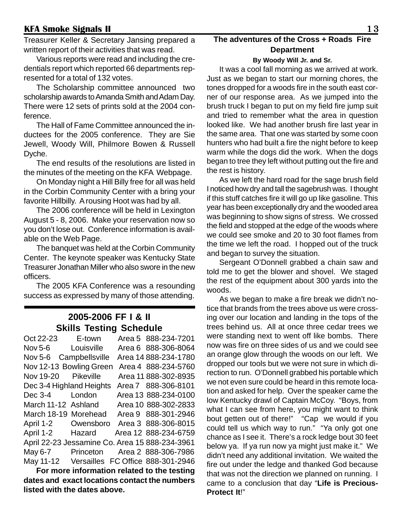Treasurer Keller & Secretary Jansing prepared a written report of their activities that was read.

Various reports were read and including the credentials report which reported 66 departments represented for a total of 132 votes.

The Scholarship committee announced two scholarship awards to Amanda Smith and Adam Day. There were 12 sets of prints sold at the 2004 conference.

The Hall of Fame Committee announced the inductees for the 2005 conference. They are Sie Jewell, Woody Will, Philmore Bowen & Russell Dyche.

The end results of the resolutions are listed in the minutes of the meeting on the KFA Webpage.

On Monday night a Hill Billy free for all was held in the Corbin Community Center with a bring your favorite Hillbilly. A rousing Hoot was had by all.

The 2006 conference will be held in Lexington August 5 - 8, 2006. Make your reservation now so you don't lose out. Conference information is available on the Web Page.

The banquet was held at the Corbin Community Center. The keynote speaker was Kentucky State Treasurer Jonathan Miller who also swore in the new officers.

The 2005 KFA Conference was a resounding success as expressed by many of those attending.

#### **2005-2006 FF I & II Skills Testing Schedule**

| Oct 22-23 E-town         |           | Area 5 888-234-7201                            |
|--------------------------|-----------|------------------------------------------------|
| Nov 5-6 Louisville       |           | Area 6 888-306-8064                            |
| Nov 5-6 Campbellsville   |           | Area 14 888-234-1780                           |
| Nov 12-13 Bowling Green  |           | Area 4 888-234-5760                            |
| Nov 19-20 Pikeville      |           | Area 11 888-302-8935                           |
| Dec 3-4 Highland Heights |           | Area 7 888-306-8101                            |
| Dec 3-4 London           |           | Area 13 888-234-0100                           |
| March 11-12 Ashland      |           | Area 10 888-302-2833                           |
| March 18-19 Morehead     |           | Area 9 888-301-2946                            |
| April 1-2                | Owensboro | Area 3 888-306-8015                            |
| April 1-2                | Hazard    | Area 12 888-234-6759                           |
|                          |           | April 22-23 Jessamine Co. Area 15 888-234-3961 |
| May 6-7                  |           | Princeton Area 2 888-306-7986                  |
| May 11-12                |           | Versailles FC Office 888-301-2946              |

**For more information related to the testing dates and exact locations contact the numbers listed with the dates above.**

### **The adventures of the Cross + Roads Fire Department**

#### **By Woody Will Jr. and Sr.**

It was a cool fall morning as we arrived at work. Just as we began to start our morning chores, the tones dropped for a woods fire in the south east corner of our response area. As we jumped into the brush truck I began to put on my field fire jump suit and tried to remember what the area in question looked like. We had another brush fire last year in the same area. That one was started by some coon hunters who had built a fire the night before to keep warm while the dogs did the work. When the dogs began to tree they left without putting out the fire and the rest is history.

As we left the hard road for the sage brush field I noticed how dry and tall the sagebrush was. I thought if this stuff catches fire it will go up like gasoline. This year has been exceptionally dry and the wooded area was beginning to show signs of stress. We crossed the field and stopped at the edge of the woods where we could see smoke and 20 to 30 foot flames from the time we left the road. I hopped out of the truck and began to survey the situation.

Sergeant O'Donnell grabbed a chain saw and told me to get the blower and shovel. We staged the rest of the equipment about 300 yards into the woods.

As we began to make a fire break we didn't notice that brands from the trees above us were crossing over our location and landing in the tops of the trees behind us. All at once three cedar trees we were standing next to went off like bombs. There now was fire on three sides of us and we could see an orange glow through the woods on our left. We dropped our tools but we were not sure in which direction to run. O'Donnell grabbed his portable which we not even sure could be heard in this remote location and asked for help. Over the speaker came the low Kentucky drawl of Captain McCoy. "Boys, from what I can see from here, you might want to think bout getten out of there!" "Cap we would if you could tell us which way to run." "Ya only got one chance as I see it. There's a rock ledge bout 30 feet below ya. If ya run now ya might just make it." We didn't need any additional invitation. We waited the fire out under the ledge and thanked God because that was not the direction we planned on running. I came to a conclusion that day "**Life is Precious-Protect It**!"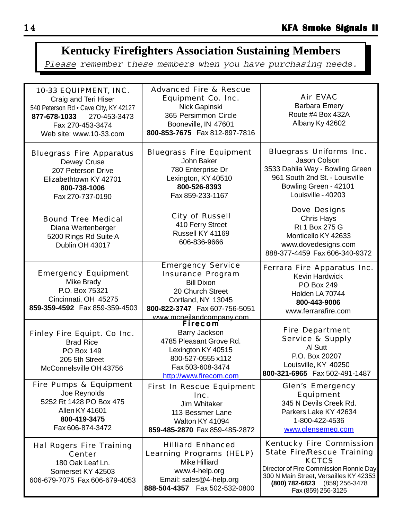# **Kentucky Firefighters Association Sustaining Members**

Please remember these members when you have purchasing needs.

| 10-33 EQUIPMENT, INC.<br>Craig and Teri Hiser<br>540 Peterson Rd · Cave City, KY 42127<br>270-453-3473<br>877-678-1033<br>Fax 270-453-3474<br>Web site: www.10-33.com | <b>Advanced Fire &amp; Rescue</b><br><b>Equipment Co. Inc.</b><br>Nick Gapinski<br>365 Persimmon Circle<br>Booneville, IN 47601<br>800-853-7675 Fax 812-897-7816         | <b>Air EVAC</b><br><b>Barbara Emery</b><br>Route #4 Box 432A<br>Albany Ky 42602                                                                                                                                                 |
|-----------------------------------------------------------------------------------------------------------------------------------------------------------------------|--------------------------------------------------------------------------------------------------------------------------------------------------------------------------|---------------------------------------------------------------------------------------------------------------------------------------------------------------------------------------------------------------------------------|
| <b>Bluegrass Fire Apparatus</b><br>Dewey Cruse<br>207 Peterson Drive<br>Elizabethtown KY 42701<br>800-738-1006<br>Fax 270-737-0190                                    | <b>Bluegrass Fire Equipment</b><br>John Baker<br>780 Enterprise Dr<br>Lexington, KY 40510<br>800-526-8393<br>Fax 859-233-1167                                            | <b>Bluegrass Uniforms Inc.</b><br>Jason Colson<br>3533 Dahlia Way - Bowling Green<br>961 South 2nd St. - Louisville<br>Bowling Green - 42101<br>Louisville - 40203                                                              |
| <b>Bound Tree Medical</b><br>Diana Wertenberger<br>5200 Rings Rd Suite A<br>Dublin OH 43017                                                                           | <b>City of Russell</b><br>410 Ferry Street<br>Russell KY 41169<br>606-836-9666                                                                                           | <b>Dove Designs</b><br><b>Chris Hays</b><br>Rt 1 Box 275 G<br>Monticello KY 42633<br>www.dovedesigns.com<br>888-377-4459 Fax 606-340-9372                                                                                       |
| <b>Emergency Equipment</b><br>Mike Brady<br>P.O. Box 75321<br>Cincinnati, OH 45275<br>859-359-4592  Fax 859-359-4503                                                  | <b>Emergency Service</b><br><b>Insurance Program</b><br><b>Bill Dixon</b><br>20 Church Street<br>Cortland, NY 13045<br>800-822-3747  Fax 607-756-5051                    | Ferrara Fire Apparatus Inc.<br><b>Kevin Hardwick</b><br><b>PO Box 249</b><br>Holden LA 70744<br>800-443-9006<br>www.ferrarafire.com                                                                                             |
| <b>Finley Fire Equipt. Co Inc.</b><br><b>Brad Rice</b><br><b>PO Box 149</b><br>205 5th Street<br>McConnelsville OH 43756                                              | www.mcneilandcompany.com<br>Firecom<br>Barry Jackson<br>4785 Pleasant Grove Rd.<br>Lexington KY 40515<br>800-527-0555 x112<br>Fax 503-608-3474<br>http://www.firecom.com | <b>Fire Department</b><br><b>Service &amp; Supply</b><br>Al Sutt<br>P.O. Box 20207<br>Louisville, KY 40250<br>800-321-6965 Fax 502-491-1487                                                                                     |
| <b>Fire Pumps &amp; Equipment</b><br>Joe Reynolds<br>5252 Rt 1428 PO Box 475<br><b>Allen KY 41601</b><br>800-419-3475<br>Fax 606-874-3472                             | <b>First In Rescue Equipment</b><br>Inc.<br><b>Jim Whitaker</b><br>113 Bessmer Lane<br>Walton KY 41094<br>859-485-2870 Fax 859-485-2872                                  | <b>Glen's Emergency</b><br><b>Equipment</b><br>345 N Devils Creek Rd.<br>Parkers Lake KY 42634<br>1-800-422-4536<br>www.glensemeg.com                                                                                           |
| <b>Hal Rogers Fire Training</b><br><b>Center</b><br>180 Oak Leaf Ln.<br>Somerset KY 42503<br>606-679-7075 Fax 606-679-4053                                            | <b>Hilliard Enhanced</b><br><b>Learning Programs (HELP)</b><br><b>Mike Hilliard</b><br>www.4-help.org<br>Email: sales@4-help.org<br>888-504-4357  Fax 502-532-0800       | <b>Kentucky Fire Commission</b><br><b>State Fire/Rescue Training</b><br><b>KCTCS</b><br>Director of Fire Commission Ronnie Day<br>300 N Main Street, Versailles KY 42353<br>(800) 782-6823 (859) 256-3478<br>Fax (859) 256-3125 |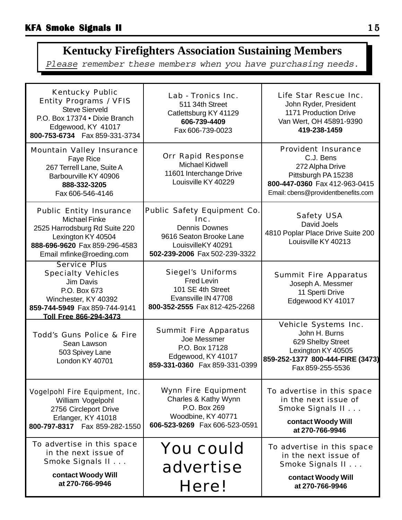# **Kentucky Firefighters Association Sustaining Members**

Please remember these members when you have purchasing needs.

| <b>Kentucky Public</b><br><b>Entity Programs / VFIS</b><br><b>Steve Sierveld</b><br>P.O. Box 17374 . Dixie Branch<br>Edgewood, KY 41017<br>800-753-6734    Fax 859-331-3734 | Lab - Tronics Inc.<br>511 34th Street<br>Catlettsburg KY 41129<br>606-739-4409<br>Fax 606-739-0023                                                   | Life Star Rescue Inc.<br>John Ryder, President<br>1171 Production Drive<br>Van Wert, OH 45891-9390<br>419-238-1459                                       |
|-----------------------------------------------------------------------------------------------------------------------------------------------------------------------------|------------------------------------------------------------------------------------------------------------------------------------------------------|----------------------------------------------------------------------------------------------------------------------------------------------------------|
| <b>Mountain Valley Insurance</b><br>Faye Rice<br>267 Terrell Lane, Suite A<br>Barbourville KY 40906<br>888-332-3205<br>Fax 606-546-4146                                     | <b>Orr Rapid Response</b><br><b>Michael Kidwell</b><br>11601 Interchange Drive<br>Louisville KY 40229                                                | <b>Provident Insurance</b><br>C.J. Bens<br>272 Alpha Drive<br>Pittsburgh PA 15238<br>800-447-0360 Fax 412-963-0415<br>Email: cbens@providentbenefits.com |
| <b>Public Entity Insurance</b><br><b>Michael Finke</b><br>2525 Harrodsburg Rd Suite 220<br>Lexington KY 40504<br>888-696-9620 Fax 859-296-4583<br>Email mfinke@roeding.com  | <b>Public Safety Equipment Co.</b><br>Inc.<br><b>Dennis Downes</b><br>9616 Seaton Brooke Lane<br>LouisvilleKY 40291<br>502-239-2006 Fax 502-239-3322 | <b>Safety USA</b><br>David Joels<br>4810 Poplar Place Drive Suite 200<br>Louisville KY 40213                                                             |
| <b>Service Plus</b><br><b>Specialty Vehicles</b><br>Jim Davis<br>P.O. Box 673<br>Winchester, KY 40392<br>859-744-5949 Fax 859-744-9141<br>Toll Free 866-294-3473            | <b>Siegel's Uniforms</b><br>Fred Levin<br>101 SE 4th Street<br>Evansville IN 47708<br>800-352-2555 Fax 812-425-2268                                  | <b>Summit Fire Apparatus</b><br>Joseph A. Messmer<br>11 Sperti Drive<br>Edgewood KY 41017                                                                |
| <b>Todd's Guns Police &amp; Fire</b><br>Sean Lawson<br>503 Spivey Lane<br>London KY 40701                                                                                   | <b>Summit Fire Apparatus</b><br>Joe Messmer<br>P.O. Box 17128<br>Edgewood, KY 41017<br>859-331-0360 Fax 859-331-0399                                 | Vehicle Systems Inc.<br>John H. Burns<br>629 Shelby Street<br>Lexington KY 40505<br>859-252-1377 800-444-FIRE (3473)<br>Fax 859-255-5536                 |
| <b>Vogelpohl Fire Equipment, Inc.</b><br>William Vogelpohl<br>2756 Circleport Drive<br>Erlanger, KY 41018<br>800-797-8317  Fax 859-282-1550                                 | <b>Wynn Fire Equipment</b><br>Charles & Kathy Wynn<br>P.O. Box 269<br>Woodbine, KY 40771<br>606-523-9269 Fax 606-523-0591                            | To advertise in this space<br>in the next issue of<br>Smoke Signals II<br>contact Woody Will<br>at 270-766-9946                                          |
| To advertise in this space<br>in the next issue of<br>Smoke Signals II<br>contact Woody Will<br>at 270-766-9946                                                             | <b>You could</b><br>advertise<br>Here!                                                                                                               | To advertise in this space<br>in the next issue of<br>Smoke Signals II<br>contact Woody Will<br>at 270-766-9946                                          |